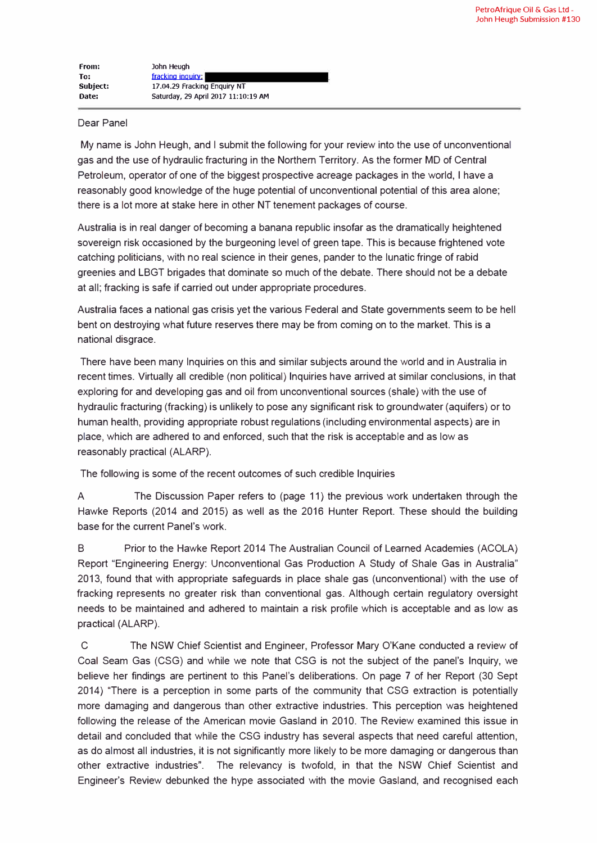| From:    | John Heugh                          |
|----------|-------------------------------------|
| To:      | fracking inquiry:                   |
| Subject: | 17.04.29 Fracking Enguiry NT        |
| Date:    | Saturday, 29 April 2017 11:10:19 AM |

## Dear Panel

My name is John Heugh, and I submit the following for your review into the use of unconventional gas and the use of hydraulic fracturing in the Northern Territory. As the former MD of Central Petroleum, operator of one of the biggest prospective acreage packages in the world, I have a reasonably good knowledge of the huge potential of unconventional potential of this area alone; there is a lot more at stake here in other NT tenement packages of course.

Australia is in real danger of becoming a banana republic insofar as the dramatically heightened sovereign risk occasioned by the burgeoning level of green tape. This is because frightened vote catching politicians, with no real science in their genes, pander to the lunatic fringe of rabid greenies and LBGT brigades that dominate so much of the debate. There should not be a debate at all; fracking is safe if carried out under appropriate procedures.

Australia faces a national gas crisis yet the various Federal and State governments seem to be hell bent on destroying what future reserves there may be from coming on to the market. This is a national disgrace.

There have been many Inquiries on this and similar subjects around the world and in Australia in recent times. Virtually all credible (non political) Inquiries have arrived at similar conclusions, in that exploring for and developing gas and oil from unconventional sources (shale) with the use of hydraulic fracturing (tracking) is unlikely to pose any significant risk to groundwater (aquifers) or to human health, providing appropriate robust regulations (including environmental aspects) are in place, which are adhered to and enforced, such that the risk is acceptable and as low as reasonably practical (ALARP).

The following is some of the recent outcomes of such credible Inquiries

A The Discussion Paper refers to (page 11) the previous work undertaken through the Hawke Reports (2014 and 2015) as well as the 2016 Hunter Report. These should the building base for the current Panel's work.

B Prior to the Hawke Report 2014 The Australian Council of Learned Academies (ACOLA) Report "Engineering Energy: Unconventional Gas Production A Study of Shale Gas in Australia" 2013, found that with appropriate safeguards in place shale gas (unconventional) with the use of tracking represents no greater risk than conventional gas. Although certain regulatory oversight needs to be maintained and adhered to maintain a risk profile which is acceptable and as low as practical (ALARP).

C The NSW Chief Scientist and Engineer, Professor Mary O'Kane conducted a review of Coal Seam Gas (CSG) and while we note that CSG is not the subject of the panel's Inquiry, we believe her findings are pertinent to this Panel's deliberations. On page 7 of her Report (30 Sept 2014) 'There is a perception in some parts of the community that CSG extraction is potentially more damaging and dangerous than other extractive industries. This perception was heightened following the release of the American movie Gasland in 2010. The Review examined this issue in detail and concluded that while the CSG industry has several aspects that need careful attention, as do almost all industries, it is not significantly more likely to be more damaging or dangerous than other extractive industries". The relevancy is twofold, in that the NSW Chief Scientist and Engineer's Review debunked the hype associated with the movie Gasland, and recognised each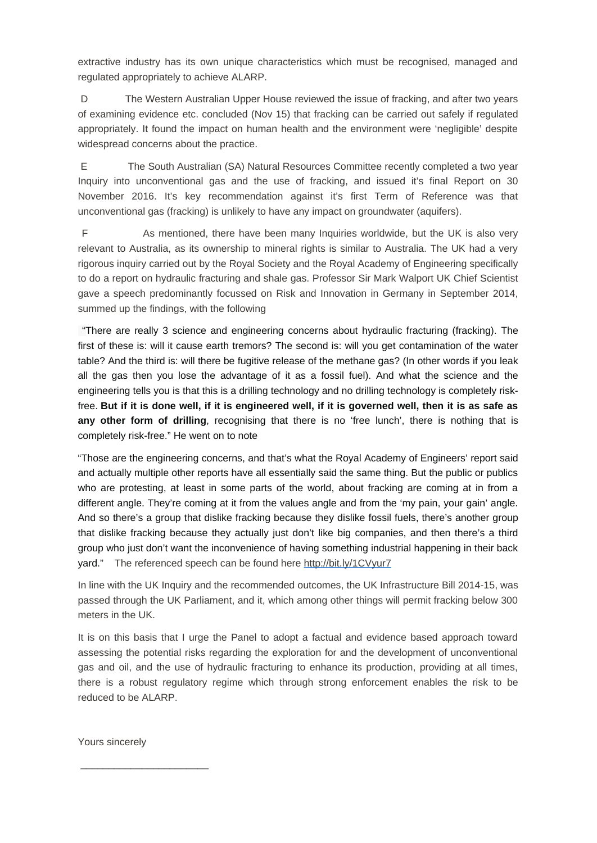extractive industry has its own unique characteristics which must be recognised, managed and regulated appropriately to achieve ALARP.

D The Western Australian Upper House reviewed the issue of fracking, and after two years of examining evidence etc. concluded (Nov 15) that fracking can be carried out safely if regulated appropriately. It found the impact on human health and the environment were 'negligible' despite widespread concerns about the practice.

E The South Australian (SA) Natural Resources Committee recently completed a two year Inquiry into unconventional gas and the use of fracking, and issued it's final Report on 30 November 2016. It's key recommendation against it's first Term of Reference was that unconventional gas (fracking) is unlikely to have any impact on groundwater (aquifers).

F As mentioned, there have been many Inquiries worldwide, but the UK is also very relevant to Australia, as its ownership to mineral rights is similar to Australia. The UK had a very rigorous inquiry carried out by the Royal Society and the Royal Academy of Engineering specifically to do a report on hydraulic fracturing and shale gas. Professor Sir Mark Walport UK Chief Scientist gave a speech predominantly focussed on Risk and Innovation in Germany in September 2014, summed up the findings, with the following

"There are really 3 science and engineering concerns about hydraulic fracturing (fracking). The first of these is: will it cause earth tremors? The second is: will you get contamination of the water table? And the third is: will there be fugitive release of the methane gas? (In other words if you leak all the gas then you lose the advantage of it as a fossil fuel). And what the science and the engineering tells you is that this is a drilling technology and no drilling technology is completely riskfree. **But if it is done well, if it is engineered well, if it is governed well, then it is as safe as** any other form of drilling, recognising that there is no 'free lunch', there is nothing that is completely risk-free." He went on to note

"Those are the engineering concerns, and that's what the Royal Academy of Engineers' report said and actually multiple other reports have all essentially said the same thing. But the public or publics who are protesting, at least in some parts of the world, about fracking are coming at in from a different angle. They're coming at it from the values angle and from the 'my pain, your gain' angle. And so there's a group that dislike fracking because they dislike fossil fuels, there's another group that dislike fracking because they actually just don't like big companies, and then there's a third group who just don't want the inconvenience of having something industrial happening in their back yard." The referenced speech can be found here http://bit.ly/1CVyur7

In line with the UK Inquiry and the recommended outcomes, the UK Infrastructure Bill 2014-15, was passed through the UK Parliament, and it, which among other things will permit fracking below 300 meters in the UK.

It is on this basis that I urge the Panel to adopt a factual and evidence based approach toward assessing the potential risks regarding the exploration for and the development of unconventional gas and oil, and the use of hydraulic fracturing to enhance its production, providing at all times, there is a robust regulatory regime which through strong enforcement enables the risk to be reduced to be ALARP.

Yours sincerely

\_\_\_\_\_\_\_\_\_\_\_\_\_\_\_\_\_\_\_\_\_\_\_